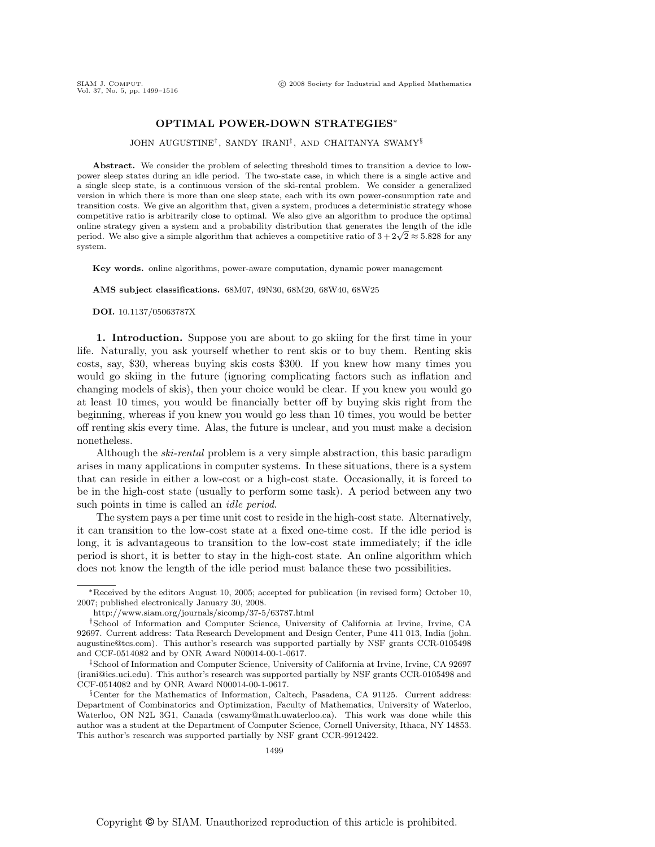## OPTIMAL POWER-DOWN STRATEGIES∗

## JOHN AUGUSTINE† , SANDY IRANI‡ , AND CHAITANYA SWAMY§

Abstract. We consider the problem of selecting threshold times to transition a device to lowpower sleep states during an idle period. The two-state case, in which there is a single active and a single sleep state, is a continuous version of the ski-rental problem. We consider a generalized version in which there is more than one sleep state, each with its own power-consumption rate and transition costs. We give an algorithm that, given a system, produces a deterministic strategy whose competitive ratio is arbitrarily close to optimal. We also give an algorithm to produce the optimal online strategy given a system and a probability distribution that generates the length of the idle period. We also give a simple algorithm that achieves a competitive ratio of  $3 + 2\sqrt{2} \approx 5.828$  for any system.

Key words. online algorithms, power-aware computation, dynamic power management

AMS subject classifications. 68M07, 49N30, 68M20, 68W40, 68W25

DOI. 10.1137/05063787X

1. Introduction. Suppose you are about to go skiing for the first time in your life. Naturally, you ask yourself whether to rent skis or to buy them. Renting skis costs, say, \$30, whereas buying skis costs \$300. If you knew how many times you would go skiing in the future (ignoring complicating factors such as inflation and changing models of skis), then your choice would be clear. If you knew you would go at least 10 times, you would be financially better off by buying skis right from the beginning, whereas if you knew you would go less than 10 times, you would be better off renting skis every time. Alas, the future is unclear, and you must make a decision nonetheless.

Although the *ski-rental* problem is a very simple abstraction, this basic paradigm arises in many applications in computer systems. In these situations, there is a system that can reside in either a low-cost or a high-cost state. Occasionally, it is forced to be in the high-cost state (usually to perform some task). A period between any two such points in time is called an *idle period*.

The system pays a per time unit cost to reside in the high-cost state. Alternatively, it can transition to the low-cost state at a fixed one-time cost. If the idle period is long, it is advantageous to transition to the low-cost state immediately; if the idle period is short, it is better to stay in the high-cost state. An online algorithm which does not know the length of the idle period must balance these two possibilities.

<sup>∗</sup>Received by the editors August 10, 2005; accepted for publication (in revised form) October 10, 2007; published electronically January 30, 2008.

http://www.siam.org/journals/sicomp/37-5/63787.html

<sup>†</sup>School of Information and Computer Science, University of California at Irvine, Irvine, CA 92697. Current address: Tata Research Development and Design Center, Pune 411 013, India (john. augustine@tcs.com). This author's research was supported partially by NSF grants CCR-0105498 and CCF-0514082 and by ONR Award N00014-00-1-0617.

<sup>‡</sup>School of Information and Computer Science, University of California at Irvine, Irvine, CA 92697 (irani@ics.uci.edu). This author's research was supported partially by NSF grants CCR-0105498 and CCF-0514082 and by ONR Award N00014-00-1-0617.

<sup>§</sup>Center for the Mathematics of Information, Caltech, Pasadena, CA 91125. Current address: Department of Combinatorics and Optimization, Faculty of Mathematics, University of Waterloo, Waterloo, ON N2L 3G1, Canada (cswamy@math.uwaterloo.ca). This work was done while this author was a student at the Department of Computer Science, Cornell University, Ithaca, NY 14853. This author's research was supported partially by NSF grant CCR-9912422.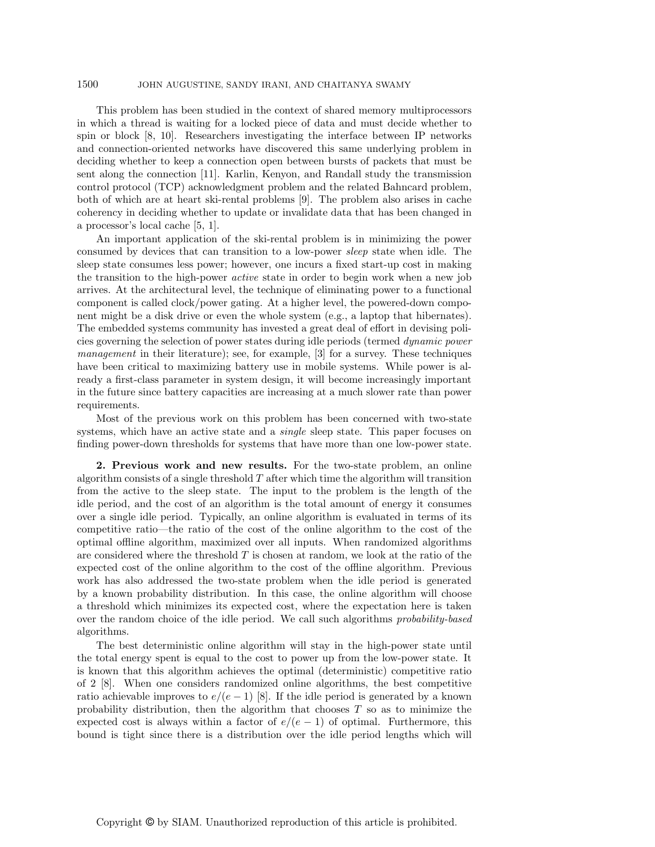## 1500 JOHN AUGUSTINE, SANDY IRANI, AND CHAITANYA SWAMY

This problem has been studied in the context of shared memory multiprocessors in which a thread is waiting for a locked piece of data and must decide whether to spin or block [8, 10]. Researchers investigating the interface between IP networks and connection-oriented networks have discovered this same underlying problem in deciding whether to keep a connection open between bursts of packets that must be sent along the connection [11]. Karlin, Kenyon, and Randall study the transmission control protocol (TCP) acknowledgment problem and the related Bahncard problem, both of which are at heart ski-rental problems [9]. The problem also arises in cache coherency in deciding whether to update or invalidate data that has been changed in a processor's local cache [5, 1].

An important application of the ski-rental problem is in minimizing the power consumed by devices that can transition to a low-power sleep state when idle. The sleep state consumes less power; however, one incurs a fixed start-up cost in making the transition to the high-power active state in order to begin work when a new job arrives. At the architectural level, the technique of eliminating power to a functional component is called clock/power gating. At a higher level, the powered-down component might be a disk drive or even the whole system (e.g., a laptop that hibernates). The embedded systems community has invested a great deal of effort in devising policies governing the selection of power states during idle periods (termed dynamic power management in their literature); see, for example, [3] for a survey. These techniques have been critical to maximizing battery use in mobile systems. While power is already a first-class parameter in system design, it will become increasingly important in the future since battery capacities are increasing at a much slower rate than power requirements.

Most of the previous work on this problem has been concerned with two-state systems, which have an active state and a *single* sleep state. This paper focuses on finding power-down thresholds for systems that have more than one low-power state.

2. Previous work and new results. For the two-state problem, an online algorithm consists of a single threshold  $T$  after which time the algorithm will transition from the active to the sleep state. The input to the problem is the length of the idle period, and the cost of an algorithm is the total amount of energy it consumes over a single idle period. Typically, an online algorithm is evaluated in terms of its competitive ratio—the ratio of the cost of the online algorithm to the cost of the optimal offline algorithm, maximized over all inputs. When randomized algorithms are considered where the threshold  $T$  is chosen at random, we look at the ratio of the expected cost of the online algorithm to the cost of the offline algorithm. Previous work has also addressed the two-state problem when the idle period is generated by a known probability distribution. In this case, the online algorithm will choose a threshold which minimizes its expected cost, where the expectation here is taken over the random choice of the idle period. We call such algorithms probability-based algorithms.

The best deterministic online algorithm will stay in the high-power state until the total energy spent is equal to the cost to power up from the low-power state. It is known that this algorithm achieves the optimal (deterministic) competitive ratio of 2 [8]. When one considers randomized online algorithms, the best competitive ratio achievable improves to  $e/(e-1)$  [8]. If the idle period is generated by a known probability distribution, then the algorithm that chooses  $T$  so as to minimize the expected cost is always within a factor of  $e/(e-1)$  of optimal. Furthermore, this bound is tight since there is a distribution over the idle period lengths which will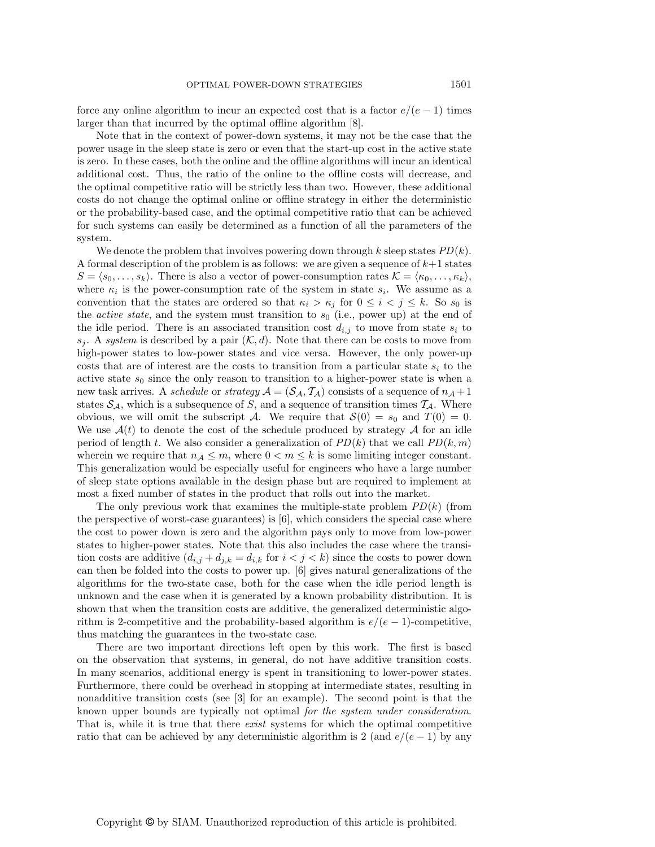force any online algorithm to incur an expected cost that is a factor  $e/(e-1)$  times larger than that incurred by the optimal offline algorithm [8].

Note that in the context of power-down systems, it may not be the case that the power usage in the sleep state is zero or even that the start-up cost in the active state is zero. In these cases, both the online and the offline algorithms will incur an identical additional cost. Thus, the ratio of the online to the offline costs will decrease, and the optimal competitive ratio will be strictly less than two. However, these additional costs do not change the optimal online or offline strategy in either the deterministic or the probability-based case, and the optimal competitive ratio that can be achieved for such systems can easily be determined as a function of all the parameters of the system.

We denote the problem that involves powering down through k sleep states  $PD(k)$ . A formal description of the problem is as follows: we are given a sequence of  $k+1$  states  $S = \langle s_0, \ldots, s_k \rangle$ . There is also a vector of power-consumption rates  $\mathcal{K} = \langle \kappa_0, \ldots, \kappa_k \rangle$ , where  $\kappa_i$  is the power-consumption rate of the system in state  $s_i$ . We assume as a convention that the states are ordered so that  $\kappa_i > \kappa_j$  for  $0 \leq i < j \leq k$ . So  $s_0$  is the *active state*, and the system must transition to  $s_0$  (i.e., power up) at the end of the idle period. There is an associated transition cost  $d_{i,j}$  to move from state  $s_i$  to  $s_j$ . A system is described by a pair  $(\mathcal{K}, d)$ . Note that there can be costs to move from high-power states to low-power states and vice versa. However, the only power-up costs that are of interest are the costs to transition from a particular state  $s_i$  to the active state  $s_0$  since the only reason to transition to a higher-power state is when a new task arrives. A schedule or strategy  $A = (\mathcal{S}_A, \mathcal{T}_A)$  consists of a sequence of  $n_A + 1$ states  $S_A$ , which is a subsequence of S, and a sequence of transition times  $\mathcal{T}_A$ . Where obvious, we will omit the subscript A. We require that  $S(0) = s_0$  and  $T(0) = 0$ . We use  $\mathcal{A}(t)$  to denote the cost of the schedule produced by strategy  $\mathcal{A}$  for an idle period of length t. We also consider a generalization of  $PD(k)$  that we call  $PD(k,m)$ wherein we require that  $n_A \leq m$ , where  $0 < m \leq k$  is some limiting integer constant. This generalization would be especially useful for engineers who have a large number of sleep state options available in the design phase but are required to implement at most a fixed number of states in the product that rolls out into the market.

The only previous work that examines the multiple-state problem  $PD(k)$  (from the perspective of worst-case guarantees) is [6], which considers the special case where the cost to power down is zero and the algorithm pays only to move from low-power states to higher-power states. Note that this also includes the case where the transition costs are additive  $(d_{i,j} + d_{j,k} = d_{i,k}$  for  $i < j < k$ ) since the costs to power down can then be folded into the costs to power up. [6] gives natural generalizations of the algorithms for the two-state case, both for the case when the idle period length is unknown and the case when it is generated by a known probability distribution. It is shown that when the transition costs are additive, the generalized deterministic algorithm is 2-competitive and the probability-based algorithm is  $e/(e-1)$ -competitive, thus matching the guarantees in the two-state case.

There are two important directions left open by this work. The first is based on the observation that systems, in general, do not have additive transition costs. In many scenarios, additional energy is spent in transitioning to lower-power states. Furthermore, there could be overhead in stopping at intermediate states, resulting in nonadditive transition costs (see [3] for an example). The second point is that the known upper bounds are typically not optimal for the system under consideration. That is, while it is true that there *exist* systems for which the optimal competitive ratio that can be achieved by any deterministic algorithm is 2 (and  $e/(e-1)$ ) by any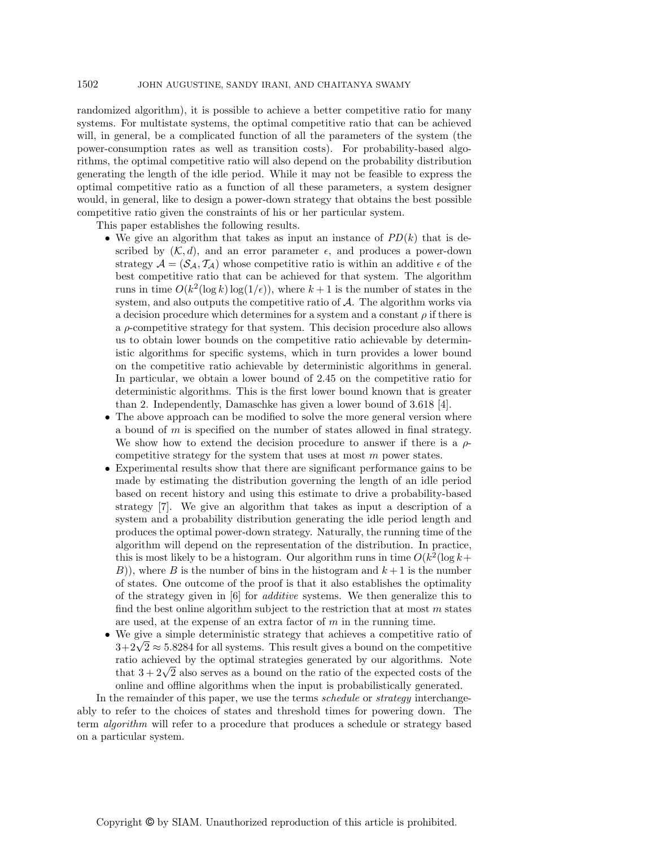randomized algorithm), it is possible to achieve a better competitive ratio for many systems. For multistate systems, the optimal competitive ratio that can be achieved will, in general, be a complicated function of all the parameters of the system (the power-consumption rates as well as transition costs). For probability-based algorithms, the optimal competitive ratio will also depend on the probability distribution generating the length of the idle period. While it may not be feasible to express the optimal competitive ratio as a function of all these parameters, a system designer would, in general, like to design a power-down strategy that obtains the best possible competitive ratio given the constraints of his or her particular system.

This paper establishes the following results.

- We give an algorithm that takes as input an instance of  $PD(k)$  that is described by  $(K, d)$ , and an error parameter  $\epsilon$ , and produces a power-down strategy  $A = (\mathcal{S}_A, \mathcal{T}_A)$  whose competitive ratio is within an additive  $\epsilon$  of the best competitive ratio that can be achieved for that system. The algorithm runs in time  $O(k^2(\log k) \log(1/\epsilon))$ , where  $k+1$  is the number of states in the system, and also outputs the competitive ratio of  $A$ . The algorithm works via a decision procedure which determines for a system and a constant  $\rho$  if there is a  $\rho$ -competitive strategy for that system. This decision procedure also allows us to obtain lower bounds on the competitive ratio achievable by deterministic algorithms for specific systems, which in turn provides a lower bound on the competitive ratio achievable by deterministic algorithms in general. In particular, we obtain a lower bound of 2.45 on the competitive ratio for deterministic algorithms. This is the first lower bound known that is greater than 2. Independently, Damaschke has given a lower bound of 3.618 [4].
- The above approach can be modified to solve the more general version where a bound of  $m$  is specified on the number of states allowed in final strategy. We show how to extend the decision procedure to answer if there is a  $\rho$ competitive strategy for the system that uses at most m power states.
- Experimental results show that there are significant performance gains to be made by estimating the distribution governing the length of an idle period based on recent history and using this estimate to drive a probability-based strategy [7]. We give an algorithm that takes as input a description of a system and a probability distribution generating the idle period length and produces the optimal power-down strategy. Naturally, the running time of the algorithm will depend on the representation of the distribution. In practice, this is most likely to be a histogram. Our algorithm runs in time  $O(k^2(\log k +$  $B$ ), where B is the number of bins in the histogram and  $k+1$  is the number of states. One outcome of the proof is that it also establishes the optimality of the strategy given in [6] for additive systems. We then generalize this to find the best online algorithm subject to the restriction that at most  $m$  states are used, at the expense of an extra factor of  $m$  in the running time.
- We give a simple deterministic strategy that achieves a competitive ratio of  $3+2\sqrt{2} \approx 5.8284$  for all systems. This result gives a bound on the competitive ratio achieved by the optimal strategies generated by our algorithms. Note that  $3 + 2\sqrt{2}$  also serves as a bound on the ratio of the expected costs of the online and offline algorithms when the input is probabilistically generated.

In the remainder of this paper, we use the terms *schedule* or *strategy* interchangeably to refer to the choices of states and threshold times for powering down. The term algorithm will refer to a procedure that produces a schedule or strategy based on a particular system.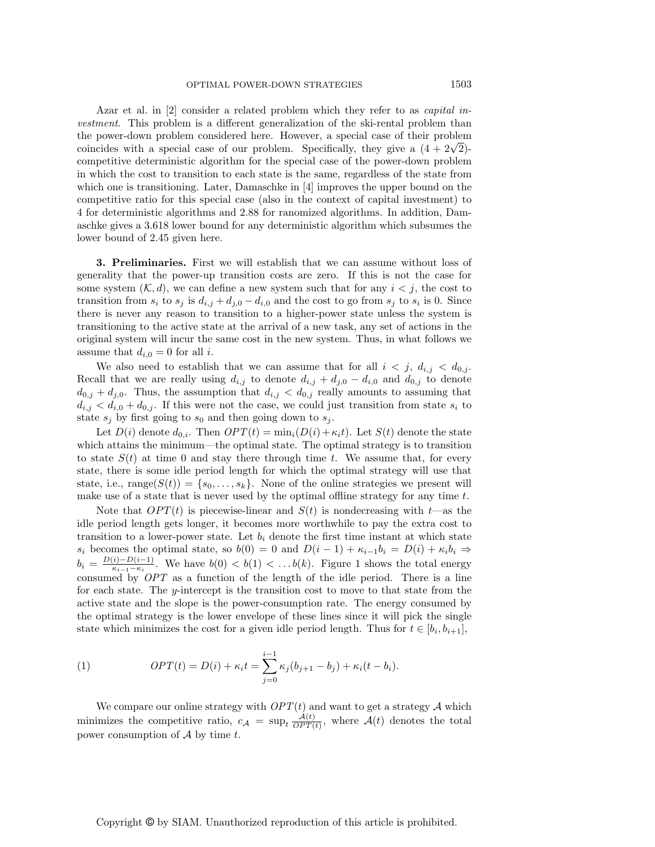Azar et al. in [2] consider a related problem which they refer to as *capital in*vestment. This problem is a different generalization of the ski-rental problem than the power-down problem considered here. However, a special case of their problem coincides with a special case of our problem. Specifically, they give a  $(4 + 2\sqrt{2})$ competitive deterministic algorithm for the special case of the power-down problem in which the cost to transition to each state is the same, regardless of the state from which one is transitioning. Later, Damaschke in [4] improves the upper bound on the competitive ratio for this special case (also in the context of capital investment) to 4 for deterministic algorithms and 2.88 for ranomized algorithms. In addition, Damaschke gives a 3.618 lower bound for any deterministic algorithm which subsumes the lower bound of 2.45 given here.

3. Preliminaries. First we will establish that we can assume without loss of generality that the power-up transition costs are zero. If this is not the case for some system  $(K, d)$ , we can define a new system such that for any  $i < j$ , the cost to transition from  $s_i$  to  $s_j$  is  $d_{i,j} + d_{j,0} - d_{i,0}$  and the cost to go from  $s_j$  to  $s_i$  is 0. Since there is never any reason to transition to a higher-power state unless the system is transitioning to the active state at the arrival of a new task, any set of actions in the original system will incur the same cost in the new system. Thus, in what follows we assume that  $d_{i,0} = 0$  for all i.

We also need to establish that we can assume that for all  $i < j$ ,  $d_{i,j} < d_{0,j}$ . Recall that we are really using  $d_{i,j}$  to denote  $d_{i,j} + d_{j,0} - d_{i,0}$  and  $d_{0,j}$  to denote  $d_{0,j} + d_{j,0}$ . Thus, the assumption that  $d_{i,j} < d_{0,j}$  really amounts to assuming that  $d_{i,j} < d_{i,0} + d_{0,j}$ . If this were not the case, we could just transition from state  $s_i$  to state  $s_j$  by first going to  $s_0$  and then going down to  $s_j$ .

Let  $D(i)$  denote  $d_{0,i}$ . Then  $OPT(t) = \min_i(D(i) + \kappa_i t)$ . Let  $S(t)$  denote the state which attains the minimum—the optimal state. The optimal strategy is to transition to state  $S(t)$  at time 0 and stay there through time t. We assume that, for every state, there is some idle period length for which the optimal strategy will use that state, i.e., range $(S(t)) = \{s_0, \ldots, s_k\}$ . None of the online strategies we present will make use of a state that is never used by the optimal offline strategy for any time  $t$ .

Note that  $OPT(t)$  is piecewise-linear and  $S(t)$  is nondecreasing with  $t$ —as the idle period length gets longer, it becomes more worthwhile to pay the extra cost to transition to a lower-power state. Let  $b_i$  denote the first time instant at which state  $s_i$  becomes the optimal state, so  $b(0) = 0$  and  $D(i - 1) + \kappa_{i-1}b_i = D(i) + \kappa_i b_i \Rightarrow$  $b_i = \frac{D(i)-D(i-1)}{E_{i-1}-E_i}$  $\frac{[k]-D(i-1)}{k_{i-1}-k_i}$ . We have  $b(0) < b(1) < \ldots b(k)$ . Figure 1 shows the total energy consumed by OPT as a function of the length of the idle period. There is a line for each state. The y-intercept is the transition cost to move to that state from the active state and the slope is the power-consumption rate. The energy consumed by the optimal strategy is the lower envelope of these lines since it will pick the single state which minimizes the cost for a given idle period length. Thus for  $t \in [b_i, b_{i+1}]$ ,

(1) 
$$
OPT(t) = D(i) + \kappa_i t = \sum_{j=0}^{i-1} \kappa_j (b_{j+1} - b_j) + \kappa_i (t - b_i).
$$

We compare our online strategy with  $OPT(t)$  and want to get a strategy A which minimizes the competitive ratio,  $c_A = \sup_t \frac{A(t)}{OPT(t)}$ , where  $A(t)$  denotes the total power consumption of  $A$  by time  $t$ .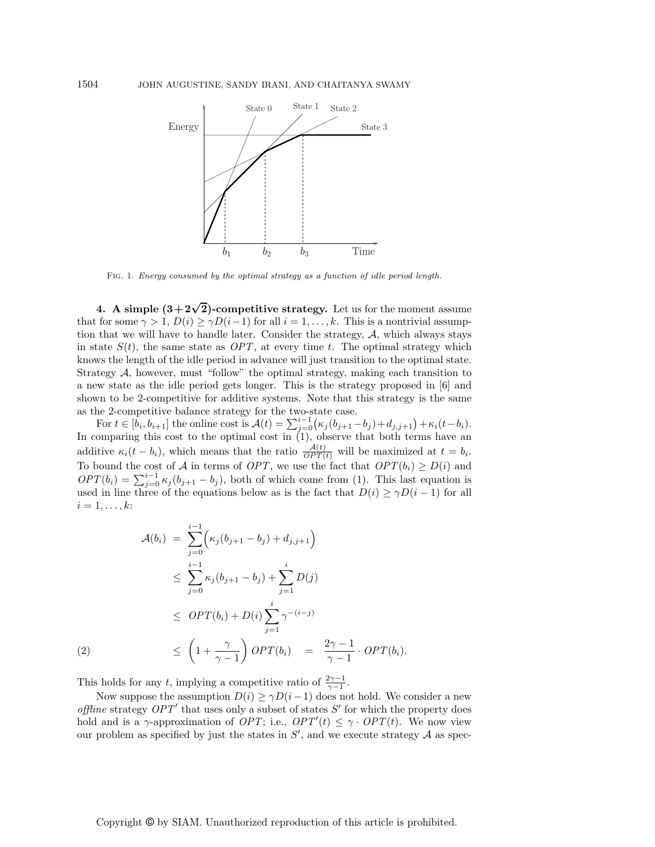

Fig. 1. Energy consumed by the optimal strategy as a function of idle period length.

4. A simple  $(3+2\sqrt{2})$ -competitive strategy. Let us for the moment assume that for some  $\gamma > 1$ ,  $D(i) \ge \gamma D(i-1)$  for all  $i = 1, \ldots, k$ . This is a nontrivial assumption that we will have to handle later. Consider the strategy, A, which always stays in state  $S(t)$ , the same state as  $OPT$ , at every time t. The optimal strategy which knows the length of the idle period in advance will just transition to the optimal state. Strategy A, however, must "follow" the optimal strategy, making each transition to a new state as the idle period gets longer. This is the strategy proposed in [6] and shown to be 2-competitive for additive systems. Note that this strategy is the same as the 2-competitive balance strategy for the two-state case.

For  $t \in [b_i, b_{i+1}]$  the online cost is  $\mathcal{A}(t) = \sum_{j=0}^{i-1} (\kappa_j (b_{j+1} - b_j) + d_{j,j+1}) + \kappa_i (t - b_i)$ . In comparing this cost to the optimal cost in (1), observe that both terms have an additive  $\kappa_i(t - b_i)$ , which means that the ratio  $\frac{\mathcal{A}(t)}{OPT(t)}$  will be maximized at  $t = b_i$ . To bound the cost of A in terms of OPT, we use the fact that  $OPT(b_i) \geq D(i)$  and  $OPT(b_i) = \sum_{j=0}^{i-1} \kappa_j (b_{j+1} - b_j)$ , both of which come from (1). This last equation is used in line three of the equations below as is the fact that  $D(i) \ge \gamma D(i-1)$  for all  $i = 1, \ldots, k$ :

$$
\mathcal{A}(b_i) = \sum_{j=0}^{i-1} \left( \kappa_j (b_{j+1} - b_j) + d_{j,j+1} \right)
$$
  
\n
$$
\leq \sum_{j=0}^{i-1} \kappa_j (b_{j+1} - b_j) + \sum_{j=1}^i D(j)
$$
  
\n
$$
\leq OPT(b_i) + D(i) \sum_{j=1}^i \gamma^{-(i-j)}
$$
  
\n(2) 
$$
\leq \left( 1 + \frac{\gamma}{\gamma - 1} \right) OPT(b_i) = \frac{2\gamma - 1}{\gamma - 1} \cdot OPT(b_i).
$$

This holds for any t, implying a competitive ratio of  $\frac{2\gamma-1}{\gamma-1}$ .

Now suppose the assumption  $D(i) \geq \gamma D(i-1)$  does not hold. We consider a new *offline* strategy  $OPT'$  that uses only a subset of states S' for which the property does hold and is a  $\gamma$ -approximation of *OPT*; i.e., *OPT'*(*t*)  $\leq \gamma \cdot OPT(t)$ . We now view our problem as specified by just the states in  $S'$ , and we execute strategy  $\mathcal A$  as spec-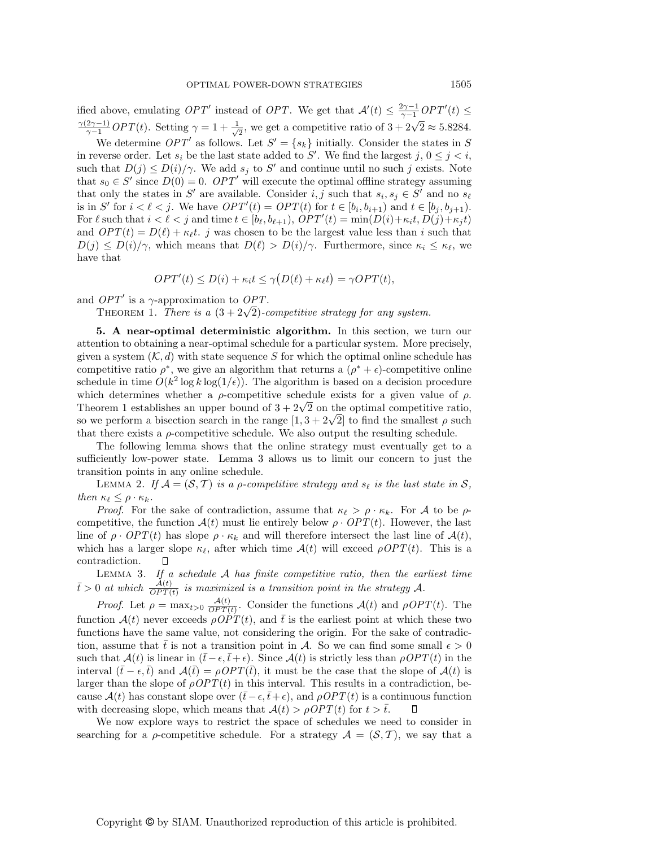ified above, emulating  $OPT'$  instead of OPT. We get that  $\mathcal{A}'(t) \leq \frac{2\gamma-1}{\gamma-1} OPT'(t) \leq$  $\frac{\gamma(2\gamma-1)}{\gamma-1}OPT(t)$ . Setting  $\gamma = 1 + \frac{1}{\sqrt{2\gamma}}$  $\frac{1}{2}$ , we get a competitive ratio of  $3 + 2\sqrt{2} \approx 5.8284$ .

We determine  $OPT'$  as follows. Let  $S' = \{s_k\}$  initially. Consider the states in S in reverse order. Let  $s_i$  be the last state added to S'. We find the largest  $j, 0 \leq j < i$ , such that  $D(j) \leq D(i)/\gamma$ . We add  $s_j$  to S' and continue until no such j exists. Note that  $s_0 \in S'$  since  $D(0) = 0$ . OPT' will execute the optimal offline strategy assuming that only the states in S' are available. Consider  $i, j$  such that  $s_i, s_j \in S'$  and no  $s_\ell$ is in S' for  $i < \ell < j$ . We have  $OPT'(t) = OPT(t)$  for  $t \in [b_i, b_{i+1})$  and  $t \in [b_j, b_{j+1})$ . For  $\ell$  such that  $i < \ell < j$  and time  $t \in [b_{\ell}, b_{\ell+1}), OPT'(t) = \min(D(i) + \kappa_i t, D(j) + \kappa_j t)$ and  $OPT(t) = D(\ell) + \kappa_{\ell}t$ . j was chosen to be the largest value less than i such that  $D(j) \leq D(i)/\gamma$ , which means that  $D(\ell) > D(i)/\gamma$ . Furthermore, since  $\kappa_i \leq \kappa_{\ell}$ , we have that

$$
OPT'(t) \le D(i) + \kappa_i t \le \gamma (D(\ell) + \kappa_{\ell} t) = \gamma OPT(t),
$$

and  $OPT'$  is a  $\gamma$ -approximation to  $OPT$ .

THEOREM 1. There is a  $(3+2\sqrt{2})$ -competitive strategy for any system.

5. A near-optimal deterministic algorithm. In this section, we turn our attention to obtaining a near-optimal schedule for a particular system. More precisely, given a system  $(K, d)$  with state sequence S for which the optimal online schedule has competitive ratio  $\rho^*$ , we give an algorithm that returns a  $(\rho^* + \epsilon)$ -competitive online schedule in time  $O(k^2 \log k \log(1/\epsilon))$ . The algorithm is based on a decision procedure which determines whether a  $\rho$ -competitive schedule exists for a given value of  $\rho$ . Theorem 1 establishes an upper bound of  $3 + 2\sqrt{2}$  on the optimal competitive ratio, so we perform a bisection search in the range  $[1, 3 + 2\sqrt{2}]$  to find the smallest  $\rho$  such that there exists a  $\rho$ -competitive schedule. We also output the resulting schedule.

The following lemma shows that the online strategy must eventually get to a sufficiently low-power state. Lemma 3 allows us to limit our concern to just the transition points in any online schedule.

LEMMA 2. If  $\mathcal{A} = (\mathcal{S}, \mathcal{T})$  is a p-competitive strategy and  $s_{\ell}$  is the last state in  $\mathcal{S}$ , then  $\kappa_{\ell} \leq \rho \cdot \kappa_k$ .

*Proof.* For the sake of contradiction, assume that  $\kappa_{\ell} > \rho \cdot \kappa_{k}$ . For A to be  $\rho$ competitive, the function  $\mathcal{A}(t)$  must lie entirely below  $\rho \cdot OPT(t)$ . However, the last line of  $\rho \cdot OPT(t)$  has slope  $\rho \cdot \kappa_k$  and will therefore intersect the last line of  $\mathcal{A}(t)$ , which has a larger slope  $\kappa_{\ell}$ , after which time  $\mathcal{A}(t)$  will exceed  $\rho OPT(t)$ . This is a contradiction. contradiction.

LEMMA 3. If a schedule  $A$  has finite competitive ratio, then the earliest time  $\bar{t} > 0$  at which  $\frac{A(t)}{OPT(t)}$  is maximized is a transition point in the strategy A.

*Proof.* Let  $\rho = \max_{t>0} \frac{A(t)}{OPT(t)}$ . Consider the functions  $A(t)$  and  $\rho OPT(t)$ . The function  $\mathcal{A}(t)$  never exceeds  $\rho OPT(t)$ , and  $\bar{t}$  is the earliest point at which these two functions have the same value, not considering the origin. For the sake of contradiction, assume that  $\bar{t}$  is not a transition point in A. So we can find some small  $\epsilon > 0$ such that  $\mathcal{A}(t)$  is linear in  $(\bar{t}-\epsilon,\bar{t}+\epsilon)$ . Since  $\mathcal{A}(t)$  is strictly less than  $\rho OPT(t)$  in the interval  $(\bar{t}-\epsilon,\bar{t})$  and  $\mathcal{A}(\bar{t}) = \rho OPT(\bar{t})$ , it must be the case that the slope of  $\mathcal{A}(t)$  is larger than the slope of  $\rho OPT(t)$  in this interval. This results in a contradiction, because  $\mathcal{A}(t)$  has constant slope over  $(\bar{t}-\epsilon,\bar{t}+\epsilon)$ , and  $\rho \cdot OPT(t)$  is a continuous function with decreasing slope, which means that  $A(t) > \rho OPT(t)$  for  $t > \overline{t}$ .

We now explore ways to restrict the space of schedules we need to consider in searching for a  $\rho$ -competitive schedule. For a strategy  $A = (S, \mathcal{T})$ , we say that a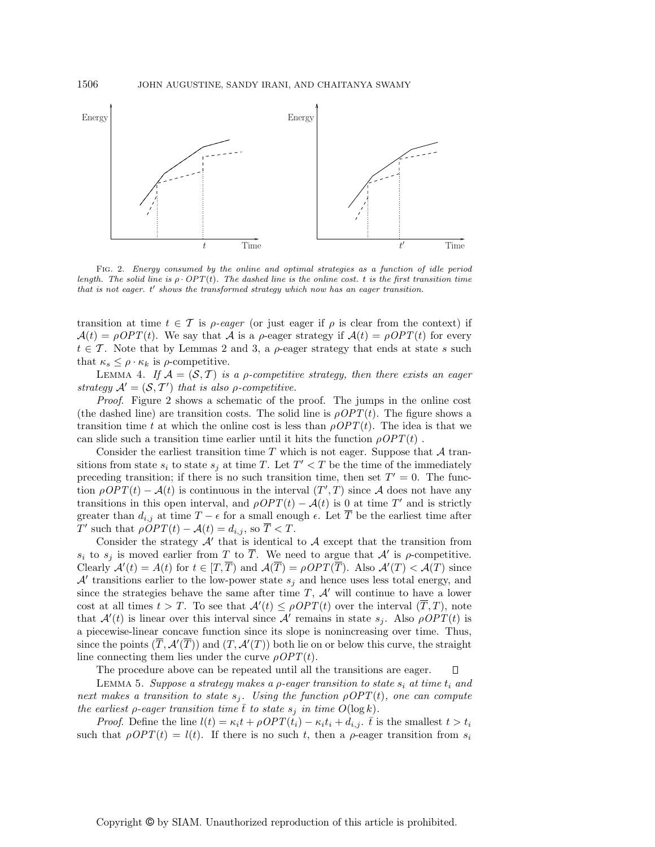

Fig. 2. Energy consumed by the online and optimal strategies as a function of idle period length. The solid line is  $\rho \cdot OPT(t)$ . The dashed line is the online cost. t is the first transition time that is not eager. t' shows the transformed strategy which now has an eager transition.

transition at time  $t \in \mathcal{T}$  is  $\rho$ -eager (or just eager if  $\rho$  is clear from the context) if  $A(t) = \rho OPT(t)$ . We say that A is a  $\rho$ -eager strategy if  $A(t) = \rho OPT(t)$  for every  $t \in \mathcal{T}$ . Note that by Lemmas 2 and 3, a  $\rho$ -eager strategy that ends at state s such that  $\kappa_s \leq \rho \cdot \kappa_k$  is  $\rho$ -competitive.

LEMMA 4. If  $\mathcal{A} = (\mathcal{S}, \mathcal{T})$  is a p-competitive strategy, then there exists an eager strategy  $\mathcal{A}' = (\mathcal{S}, \mathcal{T}')$  that is also  $\rho$ -competitive.

Proof. Figure 2 shows a schematic of the proof. The jumps in the online cost (the dashed line) are transition costs. The solid line is  $\rho OPT(t)$ . The figure shows a transition time t at which the online cost is less than  $\rho OPT(t)$ . The idea is that we can slide such a transition time earlier until it hits the function  $\rho OPT(t)$ .

Consider the earliest transition time  $T$  which is not eager. Suppose that  $A$  transitions from state  $s_i$  to state  $s_j$  at time T. Let  $T' < T$  be the time of the immediately preceding transition; if there is no such transition time, then set  $T' = 0$ . The function  $\rho OPT(t) - A(t)$  is continuous in the interval  $(T', T)$  since A does not have any transitions in this open interval, and  $\rho OPT(t) - A(t)$  is 0 at time T' and is strictly greater than  $d_{i,j}$  at time  $T - \epsilon$  for a small enough  $\epsilon$ . Let  $\overline{T}$  be the earliest time after T' such that  $\rho OPT(t) - A(t) = d_{i,j}$ , so  $T < T$ .

Consider the strategy  $\mathcal{A}'$  that is identical to  $\mathcal A$  except that the transition from s<sub>i</sub> to s<sub>j</sub> is moved earlier from T to T. We need to argue that A' is  $\rho$ -competitive. Clearly  $\mathcal{A}'(t) = A(t)$  for  $t \in [T, T)$  and  $\mathcal{A}(T) = \rho OPT(T)$ . Also  $\mathcal{A}'(T) < \mathcal{A}(T)$  since  $\mathcal{A}'$  transitions earlier to the low-power state  $s_j$  and hence uses less total energy, and since the strategies behave the same after time  $T$ ,  $\mathcal{A}'$  will continue to have a lower cost at all times  $t > T$ . To see that  $\mathcal{A}'(t) \leq \rho OPT(t)$  over the interval  $(T, T)$ , note that  $\mathcal{A}'(t)$  is linear over this interval since  $\mathcal{A}'$  remains in state  $s_j$ . Also  $\rho OPT(t)$  is a piecewise-linear concave function since its slope is nonincreasing over time. Thus, since the points  $(T, \mathcal{A}'(T))$  and  $(T, \mathcal{A}'(T))$  both lie on or below this curve, the straight line connecting them lies under the curve  $\rho OPT(t)$ .

The procedure above can be repeated until all the transitions are eager.

LEMMA 5. Suppose a strategy makes a  $\rho$ -eager transition to state  $s_i$  at time  $t_i$  and next makes a transition to state  $s_i$ . Using the function  $\rho$ OPT(t), one can compute the earliest  $\rho$ -eager transition time  $\bar{t}$  to state  $s_j$  in time  $O(\log k)$ .

*Proof.* Define the line  $l(t) = \kappa_i t + \rho OPT(t_i) - \kappa_i t_i + d_{i,j}$ .  $\bar{t}$  is the smallest  $t > t_i$ such that  $\rho OPT(t) = l(t)$ . If there is no such t, then a  $\rho$ -eager transition from  $s_i$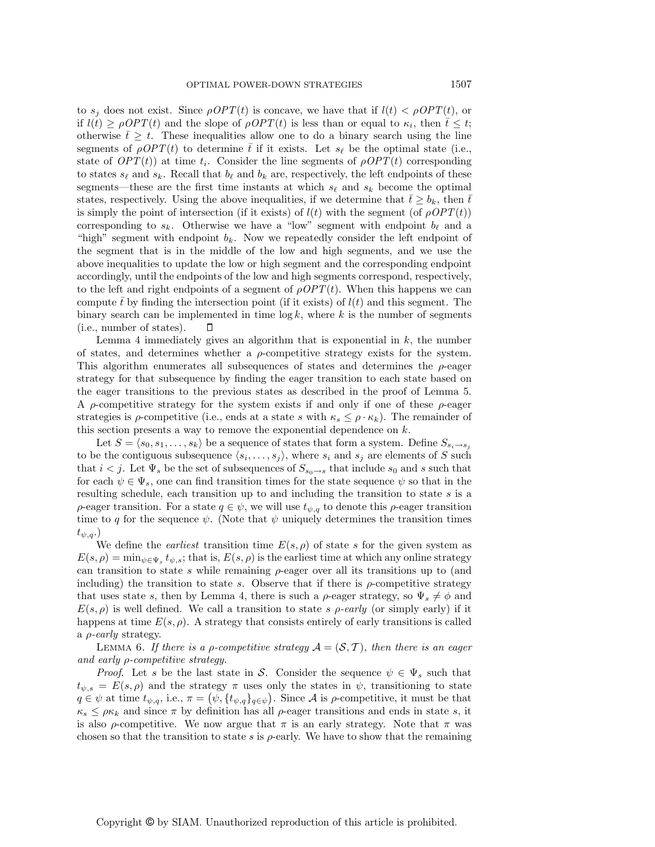to  $s_j$  does not exist. Since  $\rho OPT(t)$  is concave, we have that if  $l(t) < \rho OPT(t)$ , or if  $l(t) \ge \rho QPT(t)$  and the slope of  $\rho QPT(t)$  is less than or equal to  $\kappa_i$ , then  $\bar{t} \le t$ ; otherwise  $\bar{t} \geq t$ . These inequalities allow one to do a binary search using the line segments of  $\rho OPT(t)$  to determine t if it exists. Let  $s_{\ell}$  be the optimal state (i.e., state of  $OPT(t)$  at time  $t_i$ . Consider the line segments of  $\rho OPT(t)$  corresponding to states  $s_\ell$  and  $s_k$ . Recall that  $b_\ell$  and  $b_k$  are, respectively, the left endpoints of these segments—these are the first time instants at which  $s_{\ell}$  and  $s_k$  become the optimal states, respectively. Using the above inequalities, if we determine that  $\bar{t} \geq b_k$ , then  $\bar{t}$ is simply the point of intersection (if it exists) of  $l(t)$  with the segment (of  $\rho OPT(t)$ ) corresponding to  $s_k$ . Otherwise we have a "low" segment with endpoint  $b_\ell$  and a "high" segment with endpoint  $b_k$ . Now we repeatedly consider the left endpoint of the segment that is in the middle of the low and high segments, and we use the above inequalities to update the low or high segment and the corresponding endpoint accordingly, until the endpoints of the low and high segments correspond, respectively, to the left and right endpoints of a segment of  $\rho OPT(t)$ . When this happens we can compute  $\bar{t}$  by finding the intersection point (if it exists) of  $l(t)$  and this segment. The binary search can be implemented in time  $\log k$ , where k is the number of segments (i.e., number of states). П

Lemma 4 immediately gives an algorithm that is exponential in  $k$ , the number of states, and determines whether a  $\rho$ -competitive strategy exists for the system. This algorithm enumerates all subsequences of states and determines the  $\rho$ -eager strategy for that subsequence by finding the eager transition to each state based on the eager transitions to the previous states as described in the proof of Lemma 5. A  $\rho$ -competitive strategy for the system exists if and only if one of these  $\rho$ -eager strategies is  $\rho$ -competitive (i.e., ends at a state s with  $\kappa_s \leq \rho \cdot \kappa_k$ ). The remainder of this section presents a way to remove the exponential dependence on  $k$ .

Let  $S = \langle s_0, s_1, \ldots, s_k \rangle$  be a sequence of states that form a system. Define  $S_{s_i \to s_j}$ to be the contiguous subsequence  $\langle s_i, \ldots, s_j \rangle$ , where  $s_i$  and  $s_j$  are elements of S such that  $i < j$ . Let  $\Psi_s$  be the set of subsequences of  $S_{s_0 \to s}$  that include  $s_0$  and s such that for each  $\psi \in \Psi_s$ , one can find transition times for the state sequence  $\psi$  so that in the resulting schedule, each transition up to and including the transition to state s is a ρ-eager transition. For a state  $q \in \psi$ , we will use  $t_{\psi,q}$  to denote this ρ-eager transition time to q for the sequence  $\psi$ . (Note that  $\psi$  uniquely determines the transition times  $t_{\psi,q}$ .)

We define the *earliest* transition time  $E(s, \rho)$  of state s for the given system as  $E(s,\rho) = \min_{\psi \in \Psi_s} t_{\psi,s}$ ; that is,  $E(s,\rho)$  is the earliest time at which any online strategy can transition to state s while remaining  $\rho$ -eager over all its transitions up to (and including) the transition to state s. Observe that if there is  $\rho$ -competitive strategy that uses state s, then by Lemma 4, there is such a  $\rho$ -eager strategy, so  $\Psi_s \neq \phi$  and  $E(s, \rho)$  is well defined. We call a transition to state s  $\rho$ -early (or simply early) if it happens at time  $E(s, \rho)$ . A strategy that consists entirely of early transitions is called a  $\rho$ -early strategy.

LEMMA 6. If there is a p-competitive strategy  $A = (S, T)$ , then there is an eager and early ρ-competitive strategy.

*Proof.* Let s be the last state in S. Consider the sequence  $\psi \in \Psi_s$  such that  $t_{\psi,s} = E(s,\rho)$  and the strategy  $\pi$  uses only the states in  $\psi$ , transitioning to state  $q \in \psi$  at time  $t_{\psi,q}$ , i.e.,  $\pi = (\psi, \{t_{\psi,q}\}_{q \in \psi})$ . Since A is  $\rho$ -competitive, it must be that  $\kappa_s \leq \rho \kappa_k$  and since  $\pi$  by definition has all  $\rho$ -eager transitions and ends in state s, it is also  $\rho$ -competitive. We now argue that  $\pi$  is an early strategy. Note that  $\pi$  was chosen so that the transition to state s is  $\rho$ -early. We have to show that the remaining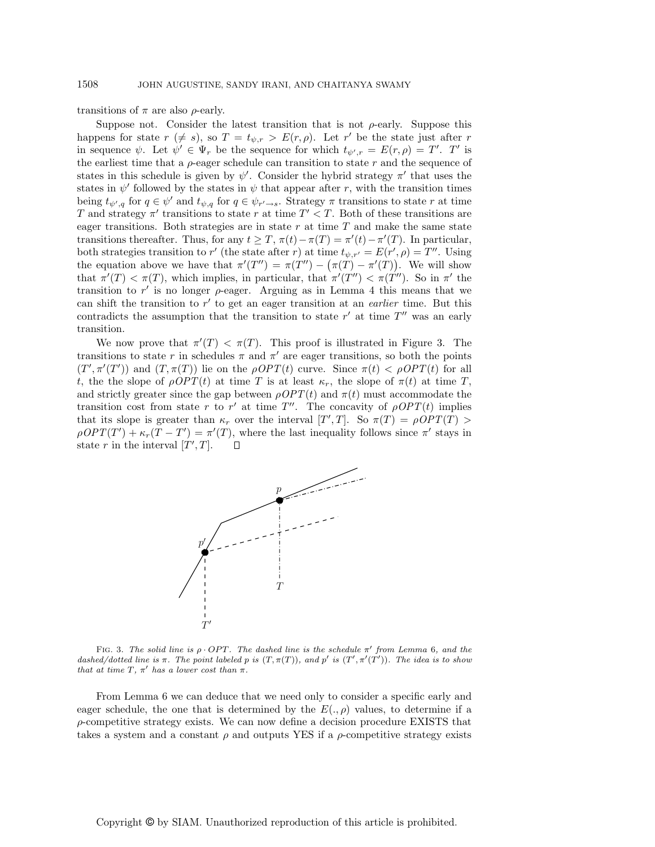transitions of  $\pi$  are also  $\rho$ -early.

Suppose not. Consider the latest transition that is not  $\rho$ -early. Suppose this happens for state  $r \neq s$ , so  $T = t_{\psi,r} > E(r,\rho)$ . Let r' be the state just after r in sequence  $\psi$ . Let  $\psi' \in \Psi_r$  be the sequence for which  $t_{\psi',r} = E(r,\rho) = T'$ . T' is the earliest time that a  $\rho$ -eager schedule can transition to state r and the sequence of states in this schedule is given by  $\psi'$ . Consider the hybrid strategy  $\pi'$  that uses the states in  $\psi'$  followed by the states in  $\psi$  that appear after r, with the transition times being  $t_{\psi',q}$  for  $q \in \psi'$  and  $t_{\psi,q}$  for  $q \in \psi_{r' \to s}$ . Strategy  $\pi$  transitions to state r at time T and strategy  $\pi'$  transitions to state r at time  $T' < T$ . Both of these transitions are eager transitions. Both strategies are in state  $r$  at time  $T$  and make the same state transitions thereafter. Thus, for any  $t \geq T$ ,  $\pi(t) - \pi(T) = \pi'(t) - \pi'(T)$ . In particular, both strategies transition to r' (the state after r) at time  $t_{\psi,r'} = E(r', \rho) = T''$ . Using the equation above we have that  $\pi'(T'') = \pi(T'') - (\pi(T) - \pi'(T))$ . We will show that  $\pi'(T) < \pi(T)$ , which implies, in particular, that  $\pi'(T'') < \pi(T'')$ . So in  $\pi'$  the transition to r' is no longer  $\rho$ -eager. Arguing as in Lemma 4 this means that we can shift the transition to  $r'$  to get an eager transition at an *earlier* time. But this contradicts the assumption that the transition to state  $r'$  at time  $T''$  was an early transition.

We now prove that  $\pi'(T) < \pi(T)$ . This proof is illustrated in Figure 3. The transitions to state r in schedules  $\pi$  and  $\pi'$  are eager transitions, so both the points  $(T', \pi'(T'))$  and  $(T, \pi(T))$  lie on the  $\rho OPT(t)$  curve. Since  $\pi(t) < \rho OPT(t)$  for all t, the the slope of  $\rho OPT(t)$  at time T is at least  $\kappa_r$ , the slope of  $\pi(t)$  at time T, and strictly greater since the gap between  $\rho OPT(t)$  and  $\pi(t)$  must accommodate the transition cost from state r to r' at time T''. The concavity of  $\rho OPT(t)$  implies that its slope is greater than  $\kappa_r$  over the interval  $[T',T]$ . So  $\pi(T) = \rho OPT(T) >$  $\rho OPT(T') + \kappa_r (T - T') = \pi'(T)$ , where the last inequality follows since  $\pi'$  stays in  $\Box$ state r in the interval  $[T',T]$ .



FIG. 3. The solid line is  $\rho \cdot OPT$ . The dashed line is the schedule  $\pi'$  from Lemma 6, and the dashed/dotted line is  $\pi$ . The point labeled p is  $(T, \pi(T))$ , and p' is  $(T', \pi'(T'))$ . The idea is to show that at time  $T$ ,  $\pi'$  has a lower cost than  $\pi$ .

From Lemma 6 we can deduce that we need only to consider a specific early and eager schedule, the one that is determined by the  $E(.,\rho)$  values, to determine if a  $\rho$ -competitive strategy exists. We can now define a decision procedure EXISTS that takes a system and a constant  $\rho$  and outputs YES if a  $\rho$ -competitive strategy exists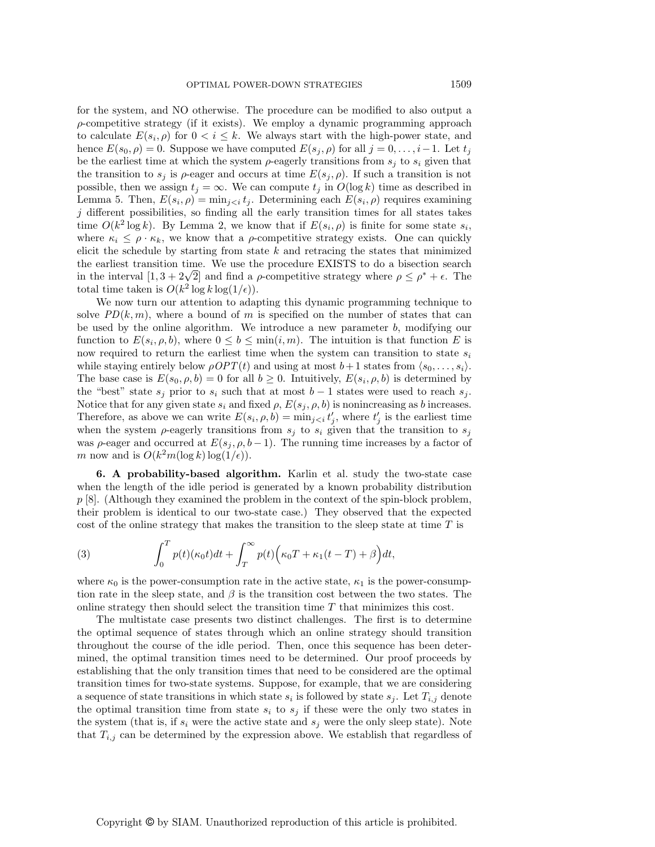for the system, and NO otherwise. The procedure can be modified to also output a  $\rho$ -competitive strategy (if it exists). We employ a dynamic programming approach to calculate  $E(s_i, \rho)$  for  $0 < i \leq k$ . We always start with the high-power state, and hence  $E(s_0, \rho) = 0$ . Suppose we have computed  $E(s_i, \rho)$  for all  $j = 0, \ldots, i-1$ . Let  $t_j$ be the earliest time at which the system  $\rho$ -eagerly transitions from  $s_j$  to  $s_i$  given that the transition to  $s_j$  is  $\rho$ -eager and occurs at time  $E(s_j, \rho)$ . If such a transition is not possible, then we assign  $t_j = \infty$ . We can compute  $t_j$  in  $O(\log k)$  time as described in Lemma 5. Then,  $E(s_i, \rho) = \min_{j \leq i} t_j$ . Determining each  $E(s_i, \rho)$  requires examining  $j$  different possibilities, so finding all the early transition times for all states takes time  $O(k^2 \log k)$ . By Lemma 2, we know that if  $E(s_i, \rho)$  is finite for some state  $s_i$ , where  $\kappa_i \leq \rho \cdot \kappa_k$ , we know that a *ρ*-competitive strategy exists. One can quickly elicit the schedule by starting from state  $k$  and retracing the states that minimized the earliest transition time. We use the procedure EXISTS to do a bisection search in the interval  $[1, 3 + 2\sqrt{2}]$  and find a  $\rho$ -competitive strategy where  $\rho \leq \rho^* + \epsilon$ . The total time taken is  $O(k^2 \log k \log(1/\epsilon)).$ 

We now turn our attention to adapting this dynamic programming technique to solve  $PD(k,m)$ , where a bound of m is specified on the number of states that can be used by the online algorithm. We introduce a new parameter  $b$ , modifying our function to  $E(s_i, \rho, b)$ , where  $0 \le b \le \min(i, m)$ . The intuition is that function E is now required to return the earliest time when the system can transition to state  $s_i$ while staying entirely below  $\rho OPT(t)$  and using at most  $b+1$  states from  $\langle s_0, \ldots, s_i \rangle$ . The base case is  $E(s_0, \rho, b) = 0$  for all  $b \ge 0$ . Intuitively,  $E(s_i, \rho, b)$  is determined by the "best" state  $s_j$  prior to  $s_i$  such that at most  $b-1$  states were used to reach  $s_j$ . Notice that for any given state  $s_i$  and fixed  $\rho$ ,  $E(s_j, \rho, b)$  is nonincreasing as b increases. Therefore, as above we can write  $E(s_i, \rho, b) = \min_{j \leq i} t'_j$ , where  $t'_j$  is the earliest time when the system  $\rho$ -eagerly transitions from  $s_i$  to  $s_i$  given that the transition to  $s_i$ was  $\rho$ -eager and occurred at  $E(s_i, \rho, b-1)$ . The running time increases by a factor of m now and is  $O(k^2m(\log k)\log(1/\epsilon)).$ 

6. A probability-based algorithm. Karlin et al. study the two-state case when the length of the idle period is generated by a known probability distribution  $p$  [8]. (Although they examined the problem in the context of the spin-block problem, their problem is identical to our two-state case.) They observed that the expected cost of the online strategy that makes the transition to the sleep state at time  $T$  is

(3) 
$$
\int_0^T p(t)(\kappa_0 t)dt + \int_T^\infty p(t)\Big(\kappa_0 T + \kappa_1 (t-T) + \beta\Big)dt,
$$

where  $\kappa_0$  is the power-consumption rate in the active state,  $\kappa_1$  is the power-consumption rate in the sleep state, and  $\beta$  is the transition cost between the two states. The online strategy then should select the transition time  $T$  that minimizes this cost.

The multistate case presents two distinct challenges. The first is to determine the optimal sequence of states through which an online strategy should transition throughout the course of the idle period. Then, once this sequence has been determined, the optimal transition times need to be determined. Our proof proceeds by establishing that the only transition times that need to be considered are the optimal transition times for two-state systems. Suppose, for example, that we are considering a sequence of state transitions in which state  $s_i$  is followed by state  $s_j$ . Let  $T_{i,j}$  denote the optimal transition time from state  $s_i$  to  $s_j$  if these were the only two states in the system (that is, if  $s_i$  were the active state and  $s_j$  were the only sleep state). Note that  $T_{i,j}$  can be determined by the expression above. We establish that regardless of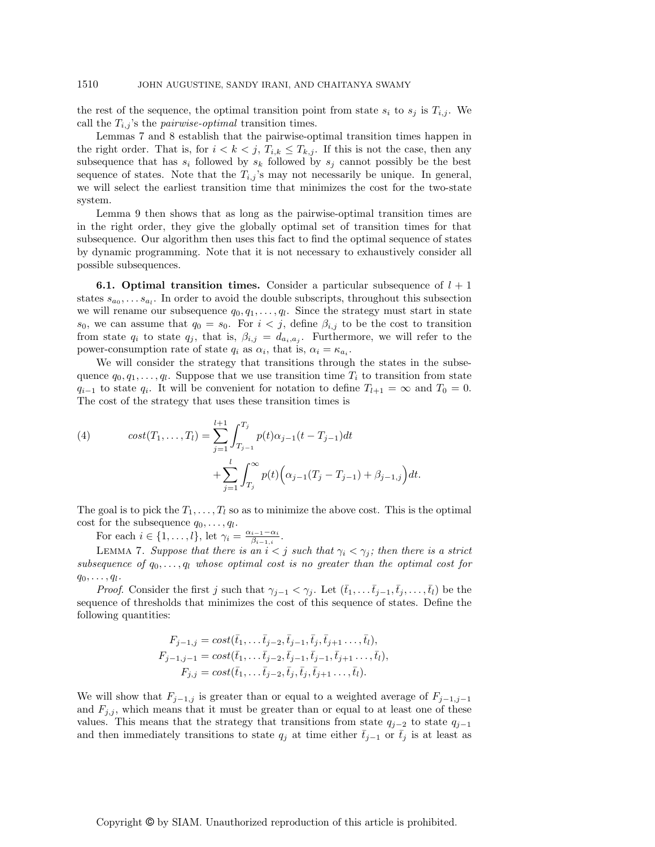the rest of the sequence, the optimal transition point from state  $s_i$  to  $s_j$  is  $T_{i,j}$ . We call the  $T_{i,j}$ 's the *pairwise-optimal* transition times.

Lemmas 7 and 8 establish that the pairwise-optimal transition times happen in the right order. That is, for  $i < k < j$ ,  $T_{i,k} \leq T_{k,j}$ . If this is not the case, then any subsequence that has  $s_i$  followed by  $s_k$  followed by  $s_j$  cannot possibly be the best sequence of states. Note that the  $T_{i,j}$ 's may not necessarily be unique. In general, we will select the earliest transition time that minimizes the cost for the two-state system.

Lemma 9 then shows that as long as the pairwise-optimal transition times are in the right order, they give the globally optimal set of transition times for that subsequence. Our algorithm then uses this fact to find the optimal sequence of states by dynamic programming. Note that it is not necessary to exhaustively consider all possible subsequences.

**6.1. Optimal transition times.** Consider a particular subsequence of  $l + 1$ states  $s_{a_0}, \ldots s_{a_l}$ . In order to avoid the double subscripts, throughout this subsection we will rename our subsequence  $q_0, q_1, \ldots, q_l$ . Since the strategy must start in state s<sub>0</sub>, we can assume that  $q_0 = s_0$ . For  $i < j$ , define  $\beta_{i,j}$  to be the cost to transition from state  $q_i$  to state  $q_j$ , that is,  $\beta_{i,j} = d_{a_i,a_j}$ . Furthermore, we will refer to the power-consumption rate of state  $q_i$  as  $\alpha_i$ , that is,  $\alpha_i = \kappa_{a_i}$ .

We will consider the strategy that transitions through the states in the subsequence  $q_0, q_1, \ldots, q_l$ . Suppose that we use transition time  $T_i$  to transition from state  $q_{i-1}$  to state  $q_i$ . It will be convenient for notation to define  $T_{l+1} = \infty$  and  $T_0 = 0$ . The cost of the strategy that uses these transition times is

(4) 
$$
cost(T_1, ..., T_l) = \sum_{j=1}^{l+1} \int_{T_{j-1}}^{T_j} p(t)\alpha_{j-1}(t - T_{j-1})dt + \sum_{j=1}^{l} \int_{T_j}^{\infty} p(t) \Big( \alpha_{j-1}(T_j - T_{j-1}) + \beta_{j-1,j} \Big) dt.
$$

The goal is to pick the  $T_1,\ldots,T_l$  so as to minimize the above cost. This is the optimal cost for the subsequence  $q_0, \ldots, q_l$ .

For each  $i \in \{1, \ldots, l\}$ , let  $\gamma_i = \frac{\alpha_{i-1} - \alpha_i}{\beta_{i-1,i}}$ .

LEMMA 7. Suppose that there is an  $i < j$  such that  $\gamma_i < \gamma_j$ ; then there is a strict subsequence of  $q_0, \ldots, q_l$  whose optimal cost is no greater than the optimal cost for  $q_0,\ldots,q_l$ .

*Proof.* Consider the first j such that  $\gamma_{j-1} < \gamma_j$ . Let  $(\bar{t}_1, \ldots \bar{t}_{j-1}, \bar{t}_j, \ldots, \bar{t}_l)$  be the sequence of thresholds that minimizes the cost of this sequence of states. Define the following quantities:

$$
F_{j-1,j} = cost(\bar{t}_1, \dots, \bar{t}_{j-2}, \bar{t}_{j-1}, \bar{t}_j, \bar{t}_{j+1}, \dots, \bar{t}_l),
$$
  
\n
$$
F_{j-1,j-1} = cost(\bar{t}_1, \dots, \bar{t}_{j-2}, \bar{t}_{j-1}, \bar{t}_{j-1}, \bar{t}_{j+1}, \dots, \bar{t}_l),
$$
  
\n
$$
F_{j,j} = cost(\bar{t}_1, \dots, \bar{t}_{j-2}, \bar{t}_j, \bar{t}_j, \bar{t}_{j+1}, \dots, \bar{t}_l).
$$

We will show that  $F_{j-1,j}$  is greater than or equal to a weighted average of  $F_{j-1,j-1}$ and  $F_{j,j}$ , which means that it must be greater than or equal to at least one of these values. This means that the strategy that transitions from state  $q_{j-2}$  to state  $q_{j-1}$ and then immediately transitions to state  $q_j$  at time either  $\bar{t}_{j-1}$  or  $\bar{t}_j$  is at least as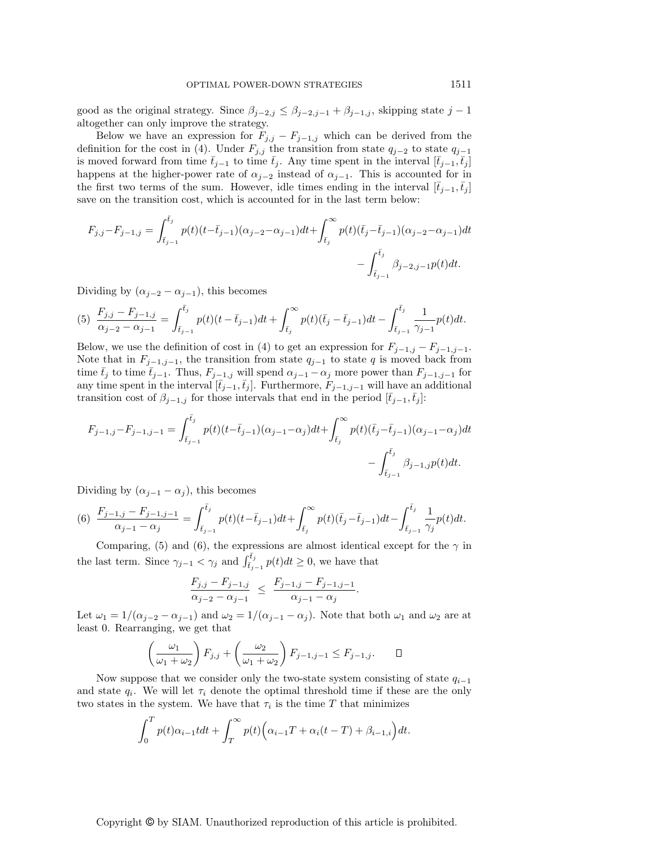good as the original strategy. Since  $\beta_{j-2,j} \leq \beta_{j-2,j-1} + \beta_{j-1,j}$ , skipping state  $j-1$ altogether can only improve the strategy.

Below we have an expression for  $F_{j,j} - F_{j-1,j}$  which can be derived from the definition for the cost in (4). Under  $F_{j,j}$  the transition from state  $q_{j-2}$  to state  $q_{j-1}$ is moved forward from time  $\bar{t}_{j-1}$  to time  $\bar{t}_j$ . Any time spent in the interval  $[\bar{t}_{j-1},\bar{t}_j]$ happens at the higher-power rate of  $\alpha_{i-2}$  instead of  $\alpha_{i-1}$ . This is accounted for in the first two terms of the sum. However, idle times ending in the interval  $[\bar{t}_{j-1}, \bar{t}_j]$ save on the transition cost, which is accounted for in the last term below:

$$
F_{j,j} - F_{j-1,j} = \int_{\bar{t}_{j-1}}^{\bar{t}_j} p(t)(t - \bar{t}_{j-1})(\alpha_{j-2} - \alpha_{j-1})dt + \int_{\bar{t}_j}^{\infty} p(t)(\bar{t}_j - \bar{t}_{j-1})(\alpha_{j-2} - \alpha_{j-1})dt - \int_{\bar{t}_{j-1}}^{\bar{t}_j} \beta_{j-2,j-1} p(t)dt.
$$

Dividing by  $(\alpha_{i-2} - \alpha_{i-1})$ , this becomes

$$
(5) \frac{F_{j,j} - F_{j-1,j}}{\alpha_{j-2} - \alpha_{j-1}} = \int_{\bar{t}_{j-1}}^{\bar{t}_j} p(t) (t - \bar{t}_{j-1}) dt + \int_{\bar{t}_j}^{\infty} p(t) (\bar{t}_j - \bar{t}_{j-1}) dt - \int_{\bar{t}_{j-1}}^{\bar{t}_j} \frac{1}{\gamma_{j-1}} p(t) dt.
$$

Below, we use the definition of cost in (4) to get an expression for  $F_{j-1,j} - F_{j-1,j-1}$ . Note that in  $F_{j-1,j-1}$ , the transition from state  $q_{j-1}$  to state q is moved back from time  $\bar{t}_j$  to time  $\bar{t}_{j-1}$ . Thus,  $F_{j-1,j}$  will spend  $\alpha_{j-1} - \alpha_j$  more power than  $F_{j-1,j-1}$  for any time spent in the interval  $[\bar{t}_{j-1},\bar{t}_j]$ . Furthermore,  $F_{j-1,j-1}$  will have an additional transition cost of  $\beta_{j-1,j}$  for those intervals that end in the period  $[\bar{t}_{j-1},\bar{t}_j]$ :

$$
F_{j-1,j} - F_{j-1,j-1} = \int_{\bar{t}_{j-1}}^{\bar{t}_j} p(t) (t - \bar{t}_{j-1}) (\alpha_{j-1} - \alpha_j) dt + \int_{\bar{t}_j}^{\infty} p(t) (\bar{t}_j - \bar{t}_{j-1}) (\alpha_{j-1} - \alpha_j) dt - \int_{\bar{t}_{j-1}}^{\bar{t}_j} \beta_{j-1,j} p(t) dt.
$$

Dividing by  $(\alpha_{j-1} - \alpha_j)$ , this becomes

$$
(6) \frac{F_{j-1,j} - F_{j-1,j-1}}{\alpha_{j-1} - \alpha_j} = \int_{\bar{t}_{j-1}}^{\bar{t}_j} p(t) (t - \bar{t}_{j-1}) dt + \int_{\bar{t}_j}^{\infty} p(t) (\bar{t}_j - \bar{t}_{j-1}) dt - \int_{\bar{t}_{j-1}}^{\bar{t}_j} \frac{1}{\gamma_j} p(t) dt.
$$

Comparing, (5) and (6), the expressions are almost identical except for the  $\gamma$  in the last term. Since  $\gamma_{j-1} < \gamma_j$  and  $\int_{\bar{t}_{j-1}}^{\bar{t}_j} p(t) dt \geq 0$ , we have that

$$
\frac{F_{j,j} - F_{j-1,j}}{\alpha_{j-2} - \alpha_{j-1}} \ \leq \ \frac{F_{j-1,j} - F_{j-1,j-1}}{\alpha_{j-1} - \alpha_j}.
$$

Let  $\omega_1 = 1/(\alpha_{j-2} - \alpha_{j-1})$  and  $\omega_2 = 1/(\alpha_{j-1} - \alpha_j)$ . Note that both  $\omega_1$  and  $\omega_2$  are at least 0. Rearranging, we get that

$$
\left(\frac{\omega_1}{\omega_1 + \omega_2}\right) F_{j,j} + \left(\frac{\omega_2}{\omega_1 + \omega_2}\right) F_{j-1,j-1} \leq F_{j-1,j}.
$$

Now suppose that we consider only the two-state system consisting of state  $q_{i-1}$ and state  $q_i$ . We will let  $\tau_i$  denote the optimal threshold time if these are the only two states in the system. We have that  $\tau_i$  is the time T that minimizes

$$
\int_0^T p(t)\alpha_{i-1}t dt + \int_T^\infty p(t) \Big(\alpha_{i-1}T + \alpha_i(t-T) + \beta_{i-1,i}\Big)dt.
$$

Copyright © by SIAM. Unauthorized reproduction of this article is prohibited.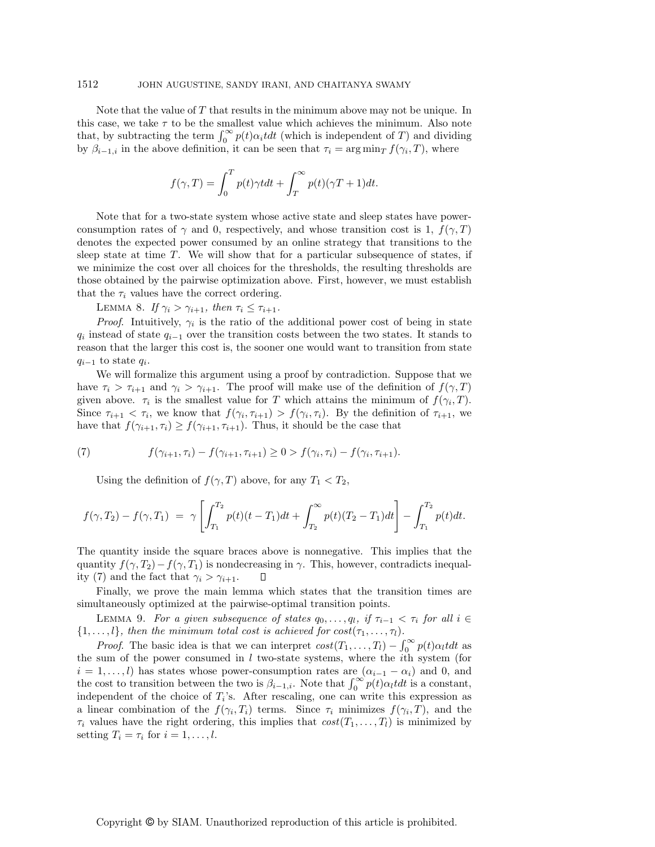Note that the value of  $T$  that results in the minimum above may not be unique. In this case, we take  $\tau$  to be the smallest value which achieves the minimum. Also note that, by subtracting the term  $\int_0^\infty p(t)\alpha_i t dt$  (which is independent of T) and dividing by  $\beta_{i-1,i}$  in the above definition, it can be seen that  $\tau_i = \arg \min_T f(\gamma_i, T)$ , where

$$
f(\gamma,T) = \int_0^T p(t)\gamma t dt + \int_T^\infty p(t)(\gamma T + 1)dt.
$$

Note that for a two-state system whose active state and sleep states have powerconsumption rates of  $\gamma$  and 0, respectively, and whose transition cost is 1,  $f(\gamma, T)$ denotes the expected power consumed by an online strategy that transitions to the sleep state at time  $T$ . We will show that for a particular subsequence of states, if we minimize the cost over all choices for the thresholds, the resulting thresholds are those obtained by the pairwise optimization above. First, however, we must establish that the  $\tau_i$  values have the correct ordering.

LEMMA 8. If  $\gamma_i > \gamma_{i+1}$ , then  $\tau_i \leq \tau_{i+1}$ .

*Proof.* Intuitively,  $\gamma_i$  is the ratio of the additional power cost of being in state  $q_i$  instead of state  $q_{i-1}$  over the transition costs between the two states. It stands to reason that the larger this cost is, the sooner one would want to transition from state  $q_{i-1}$  to state  $q_i$ .

We will formalize this argument using a proof by contradiction. Suppose that we have  $\tau_i > \tau_{i+1}$  and  $\gamma_i > \gamma_{i+1}$ . The proof will make use of the definition of  $f(\gamma, T)$ given above.  $\tau_i$  is the smallest value for T which attains the minimum of  $f(\gamma_i, T)$ . Since  $\tau_{i+1} < \tau_i$ , we know that  $f(\gamma_i, \tau_{i+1}) > f(\gamma_i, \tau_i)$ . By the definition of  $\tau_{i+1}$ , we have that  $f(\gamma_{i+1}, \tau_i) \geq f(\gamma_{i+1}, \tau_{i+1})$ . Thus, it should be the case that

(7) 
$$
f(\gamma_{i+1}, \tau_i) - f(\gamma_{i+1}, \tau_{i+1}) \geq 0 > f(\gamma_i, \tau_i) - f(\gamma_i, \tau_{i+1}).
$$

Using the definition of  $f(\gamma,T)$  above, for any  $T_1 < T_2$ ,

$$
f(\gamma,T_2) - f(\gamma,T_1) = \gamma \left[ \int_{T_1}^{T_2} p(t)(t-T_1)dt + \int_{T_2}^{\infty} p(t)(T_2 - T_1)dt \right] - \int_{T_1}^{T_2} p(t)dt.
$$

The quantity inside the square braces above is nonnegative. This implies that the quantity  $f(\gamma, T_2) - f(\gamma, T_1)$  is nondecreasing in  $\gamma$ . This, however, contradicts inequality (7) and the fact that  $\gamma_i > \gamma_{i+1}$ .  $\Box$ ity (7) and the fact that  $\gamma_i > \gamma_{i+1}$ .

Finally, we prove the main lemma which states that the transition times are simultaneously optimized at the pairwise-optimal transition points.

LEMMA 9. For a given subsequence of states  $q_0, \ldots, q_l$ , if  $\tau_{i-1} < \tau_i$  for all  $i \in$  $\{1,\ldots,l\}$ , then the minimum total cost is achieved for  $cost(\tau_1,\ldots,\tau_l)$ .

*Proof.* The basic idea is that we can interpret  $cost(T_1, ..., T_l) - \int_0^\infty p(t) \alpha_l t dt$  as the sum of the power consumed in  $l$  two-state systems, where the *i*th system (for  $i = 1, \ldots, l$ ) has states whose power-consumption rates are  $(\alpha_{i-1} - \alpha_i)$  and 0, and the cost to transition between the two is  $\beta_{i-1,i}$ . Note that  $\int_0^\infty p(t)\alpha_l t dt$  is a constant, independent of the choice of  $T_i$ 's. After rescaling, one can write this expression as a linear combination of the  $f(\gamma_i, T_i)$  terms. Since  $\tau_i$  minimizes  $f(\gamma_i, T)$ , and the  $\tau_i$  values have the right ordering, this implies that  $cost(T_1,...,T_l)$  is minimized by setting  $T_i = \tau_i$  for  $i = 1, \ldots, l$ .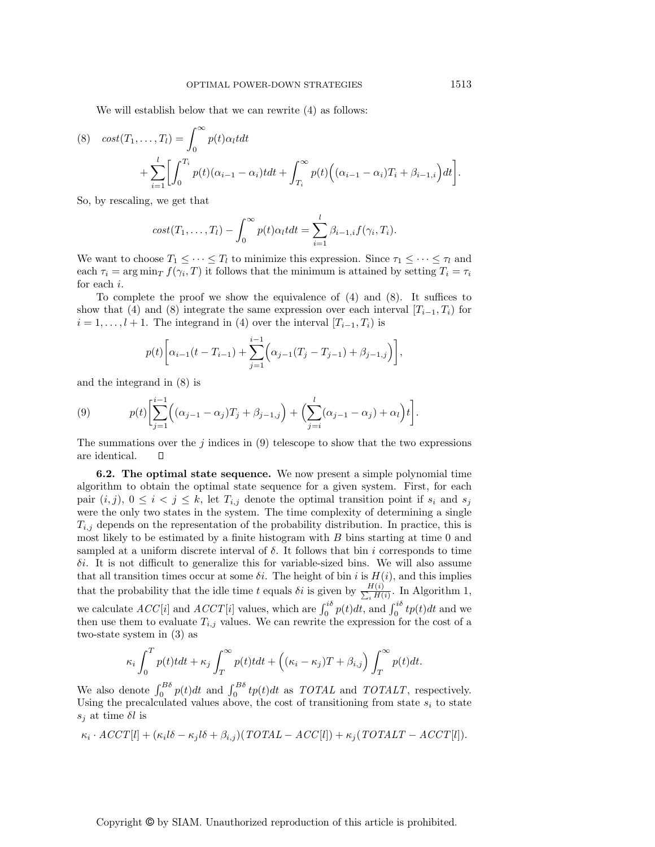We will establish below that we can rewrite (4) as follows:

(8) 
$$
cost(T_1, ..., T_l) = \int_0^\infty p(t)\alpha_l t dt + \sum_{i=1}^l \left[ \int_0^{T_i} p(t)(\alpha_{i-1} - \alpha_i)t dt + \int_{T_i}^\infty p(t) \left( (\alpha_{i-1} - \alpha_i) T_i + \beta_{i-1,i} \right) dt \right].
$$

So, by rescaling, we get that

$$
cost(T_1, ..., T_l) - \int_0^\infty p(t)\alpha_l t dt = \sum_{i=1}^l \beta_{i-1,i} f(\gamma_i, T_i).
$$

We want to choose  $T_1 \leq \cdots \leq T_l$  to minimize this expression. Since  $\tau_1 \leq \cdots \leq \tau_l$  and each  $\tau_i = \arg \min_T f(\gamma_i, T)$  it follows that the minimum is attained by setting  $T_i = \tau_i$ for each i.

To complete the proof we show the equivalence of (4) and (8). It suffices to show that (4) and (8) integrate the same expression over each interval  $[T_{i-1}, T_i]$  for  $i = 1, \ldots, l + 1$ . The integrand in (4) over the interval  $[T_{i-1}, T_i]$  is

$$
p(t)\bigg[\alpha_{i-1}(t-T_{i-1})+\sum_{j=1}^{i-1}(\alpha_{j-1}(T_j-T_{j-1})+\beta_{j-1,j})\bigg],
$$

and the integrand in (8) is

(9) 
$$
p(t)\left[\sum_{j=1}^{i-1} \left((\alpha_{j-1}-\alpha_j)T_j+\beta_{j-1,j}\right)+\left(\sum_{j=i}^{l} (\alpha_{j-1}-\alpha_j)+\alpha_l\right)t\right].
$$

The summations over the j indices in  $(9)$  telescope to show that the two expressions are identical. П

6.2. The optimal state sequence. We now present a simple polynomial time algorithm to obtain the optimal state sequence for a given system. First, for each pair  $(i, j)$ ,  $0 \leq i < j \leq k$ , let  $T_{i,j}$  denote the optimal transition point if  $s_i$  and  $s_j$ were the only two states in the system. The time complexity of determining a single  $T_{i,j}$  depends on the representation of the probability distribution. In practice, this is most likely to be estimated by a finite histogram with  $B$  bins starting at time 0 and sampled at a uniform discrete interval of  $\delta$ . It follows that bin i corresponds to time  $\delta i$ . It is not difficult to generalize this for variable-sized bins. We will also assume that all transition times occur at some  $\delta i$ . The height of bin i is  $H(i)$ , and this implies that the probability that the idle time t equals  $\delta i$  is given by  $\frac{H(i)}{\sum_i H(i)}$  $\frac{H(i)}{i}$ . In Algorithm 1, we calculate  $ACC[i]$  and  $ACCT[i]$  values, which are  $\int_0^{i\delta} p(t)dt$ , and  $\int_0^{i\delta} tp(t)dt$  and we then use them to evaluate  $T_{i,j}$  values. We can rewrite the expression for the cost of a two-state system in (3) as

$$
\kappa_i \int_0^T p(t)t dt + \kappa_j \int_T^\infty p(t)t dt + \left( (\kappa_i - \kappa_j)T + \beta_{i,j} \right) \int_T^\infty p(t) dt.
$$

We also denote  $\int_0^{B\delta} p(t)dt$  and  $\int_0^{B\delta} tp(t)dt$  as TOTAL and TOTALT, respectively. Using the precalculated values above, the cost of transitioning from state  $s_i$  to state  $s_i$  at time  $\delta l$  is

$$
\kappa_i \cdot ACCT[l] + (\kappa_i l\delta - \kappa_j l\delta + \beta_{i,j})(TOTAL - ACC[l]) + \kappa_j(TOTAL - ACCT[l]).
$$

Copyright © by SIAM. Unauthorized reproduction of this article is prohibited.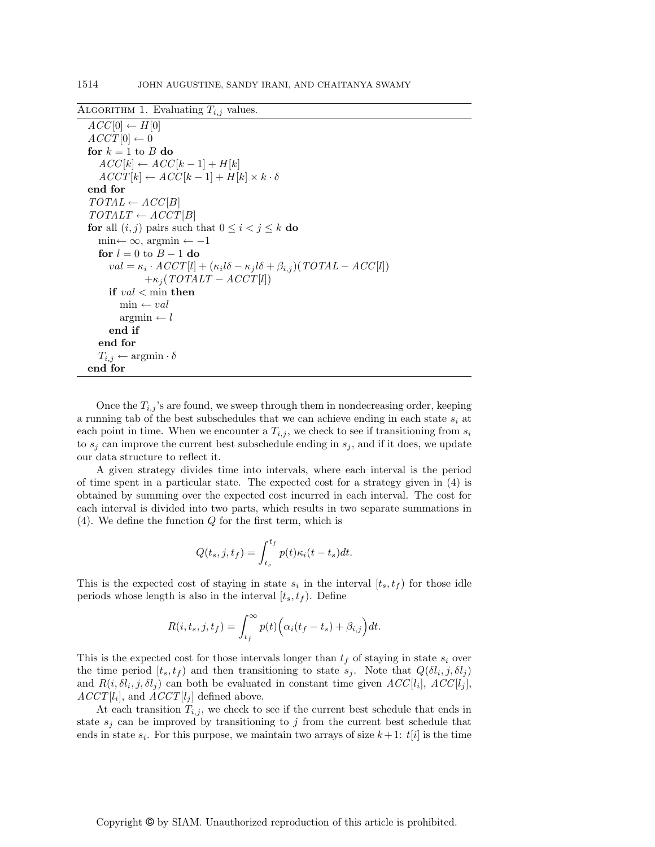ALGORITHM 1. Evaluating  $T_{i,j}$  values.

```
\overline{A}CC[0] \leftarrow H[0]ACCT[0] \leftarrow 0for k = 1 to B do
  ACC[k] \leftarrow ACC[k-1] + H[k]ACCT[k] \leftarrow ACC[k-1] + H[k] \times k \cdot \deltaend for
TOTAL \leftarrow ACC[B]TOTALT \leftarrow ACCT[B]for all (i, j) pairs such that 0 \leq i < j \leq k do
  min← \infty, argmin ← -1
  for l = 0 to B - 1 do
      val = \kappa_i \cdot ACCT[l] + (\kappa_i l\delta - \kappa_j l\delta + \beta_{i,j}) (TOTAL - ACC[l])+\kappa_i (TOTALT - ACCT[l])if val < min then
        \min \leftarrow valargmin \leftarrow lend if
  end for
  T_{i,j} \leftarrow \text{argmin} \cdot \deltaend for
```
Once the  $T_{i,j}$ 's are found, we sweep through them in nondecreasing order, keeping a running tab of the best subschedules that we can achieve ending in each state  $s_i$  at each point in time. When we encounter a  $T_{i,j}$ , we check to see if transitioning from  $s_i$ to  $s_j$  can improve the current best subschedule ending in  $s_j$ , and if it does, we update our data structure to reflect it.

A given strategy divides time into intervals, where each interval is the period of time spent in a particular state. The expected cost for a strategy given in (4) is obtained by summing over the expected cost incurred in each interval. The cost for each interval is divided into two parts, which results in two separate summations in  $(4)$ . We define the function  $Q$  for the first term, which is

$$
Q(t_s, j, t_f) = \int_{t_s}^{t_f} p(t) \kappa_i (t - t_s) dt.
$$

This is the expected cost of staying in state  $s_i$  in the interval  $[t_s, t_f]$  for those idle periods whose length is also in the interval  $[t_s, t_f)$ . Define

$$
R(i, t_s, j, t_f) = \int_{t_f}^{\infty} p(t) \Big( \alpha_i (t_f - t_s) + \beta_{i,j} \Big) dt.
$$

This is the expected cost for those intervals longer than  $t_f$  of staying in state  $s_i$  over the time period  $[t_s, t_f]$  and then transitioning to state  $s_j$ . Note that  $Q(\delta l_i, j, \delta l_j)$ and  $R(i, \delta i_i, j, \delta i_j)$  can both be evaluated in constant time given  $ACC[l_i], ACC[l_j],$  $ACCT[l_i]$ , and  $ACCT[l_j]$  defined above.

At each transition  $T_{i,j}$ , we check to see if the current best schedule that ends in state  $s_j$  can be improved by transitioning to j from the current best schedule that ends in state  $s_i$ . For this purpose, we maintain two arrays of size  $k+1$ :  $t[i]$  is the time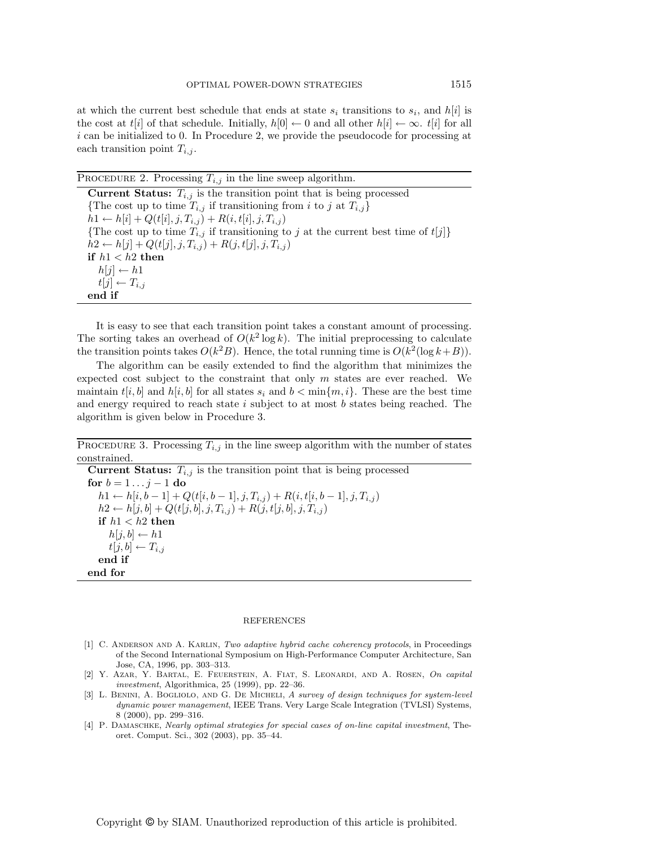at which the current best schedule that ends at state  $s_i$  transitions to  $s_i$ , and  $h[i]$  is the cost at  $t[i]$  of that schedule. Initially,  $h[0] \leftarrow 0$  and all other  $h[i] \leftarrow \infty$ .  $t[i]$  for all  $i$  can be initialized to 0. In Procedure 2, we provide the pseudocode for processing at each transition point  $T_{i,j}$ .

PROCEDURE 2. Processing  $T_{i,j}$  in the line sweep algorithm.

**Current Status:**  $T_{i,j}$  is the transition point that is being processed {The cost up to time  $T_{i,j}$  if transitioning from i to j at  $T_{i,j}$ }  $h1 \leftarrow h[i] + Q(t[i], j, T_{i,j}) + R(i, t[i], j, T_{i,j})$ {The cost up to time  $T_{i,j}$  if transitioning to j at the current best time of  $t[j]$ }  $h2 \leftarrow h[j] + Q(t[j], j, T_{i,j}) + R(j, t[j], j, T_{i,j})$ if  $h1 < h2$  then  $h[j] \leftarrow h1$  $t[j] \leftarrow T_{i,j}$ end if

It is easy to see that each transition point takes a constant amount of processing. The sorting takes an overhead of  $O(k^2 \log k)$ . The initial preprocessing to calculate the transition points takes  $O(k^2B)$ . Hence, the total running time is  $O(k^2(\log k+B))$ .

The algorithm can be easily extended to find the algorithm that minimizes the expected cost subject to the constraint that only  $m$  states are ever reached. We maintain  $t[i, b]$  and  $h[i, b]$  for all states  $s_i$  and  $b < \min\{m, i\}$ . These are the best time and energy required to reach state  $i$  subject to at most  $b$  states being reached. The algorithm is given below in Procedure 3.

PROCEDURE 3. Processing  $T_{i,j}$  in the line sweep algorithm with the number of states constrained.

**Current Status:**  $T_{i,j}$  is the transition point that is being processed for  $b = 1 \ldots j - 1$  do  $h1 \leftarrow h[i, b-1] + Q(t[i, b-1], j, T_{i,j}) + R(i, t[i, b-1], j, T_{i,j})$  $h2 \leftarrow h[j, b] + Q(t[j, b], j, T_{i,j}) + R(j, t[j, b], j, T_{i,j})$ if  $h1 < h2$  then  $h[j, b] \leftarrow h1$  $t[j,b] \leftarrow T_{i,j}$ end if end for

## REFERENCES

- [1] C. ANDERSON AND A. KARLIN, Two adaptive hybrid cache coherency protocols, in Proceedings of the Second International Symposium on High-Performance Computer Architecture, San Jose, CA, 1996, pp. 303–313.
- [2] Y. Azar, Y. Bartal, E. Feuerstein, A. Fiat, S. Leonardi, and A. Rosen, On capital investment, Algorithmica, 25 (1999), pp. 22–36.
- [3] L. BENINI, A. BOGLIOLO, AND G. DE MICHELI, A survey of design techniques for system-level dynamic power management, IEEE Trans. Very Large Scale Integration (TVLSI) Systems, 8 (2000), pp. 299–316.
- [4] P. DAMASCHKE, Nearly optimal strategies for special cases of on-line capital investment, Theoret. Comput. Sci., 302 (2003), pp. 35–44.